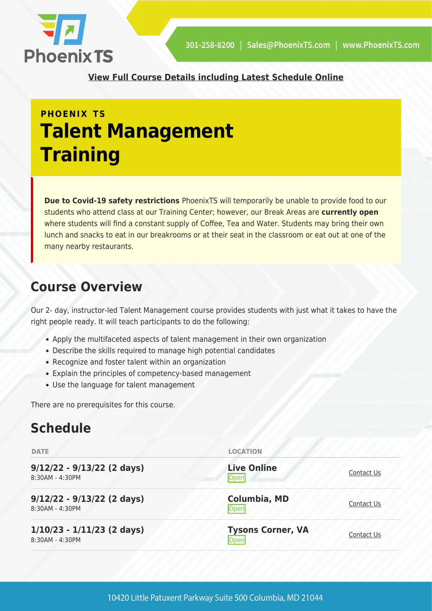

**[View Full Course Details including Latest Schedule Online](https://phoenixts.com/training-courses/talent-management-training/)**

## **PHOENIX TS Talent Management Training**

**Due to Covid-19 safety restrictions** PhoenixTS will temporarily be unable to provide food to our students who attend class at our Training Center; however, our Break Areas are **currently open** where students will find a constant supply of Coffee, Tea and Water. Students may bring their own lunch and snacks to eat in our breakrooms or at their seat in the classroom or eat out at one of the many nearby restaurants.

## **Course Overview**

Our 2- day, instructor-led Talent Management course provides students with just what it takes to have the right people ready. It will teach participants to do the following:

- Apply the multifaceted aspects of talent management in their own organization
- Describe the skills required to manage high potential candidates
- Recognize and foster talent within an organization
- Explain the principles of competency-based management
- Use the language for talent management

There are no prerequisites for this course.

## **Schedule**

| <b>DATE</b>                                     | <b>LOCATION</b>                   |            |
|-------------------------------------------------|-----------------------------------|------------|
| $9/12/22 - 9/13/22$ (2 days)<br>8:30AM - 4:30PM | <b>Live Online</b><br>Open        | Contact Us |
| $9/12/22 - 9/13/22$ (2 days)<br>8:30AM - 4:30PM | <b>Columbia, MD</b><br>Open       | Contact Us |
| $1/10/23 - 1/11/23$ (2 days)<br>8:30AM - 4:30PM | <b>Tysons Corner, VA</b><br> Open | Contact Us |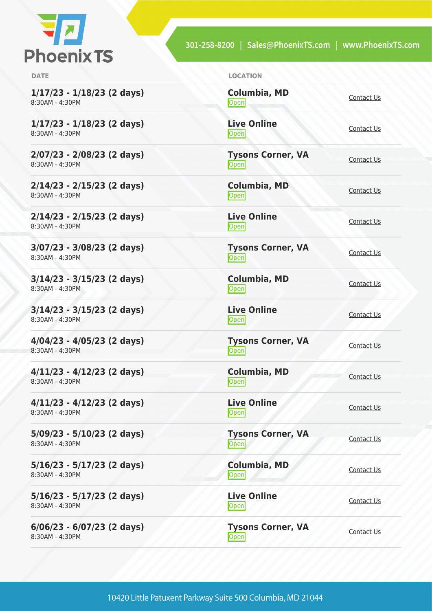

301-258-8200 | Sales@PhoenixTS.com | www.PhoenixTS.com

**1/17/23 - 1/18/23 (2 days)** 8:30AM - 4:30PM

**1/17/23 - 1/18/23 (2 days)** 8:30AM - 4:30PM

**2/07/23 - 2/08/23 (2 days)** 8:30AM - 4:30PM

**2/14/23 - 2/15/23 (2 days)** 8:30AM - 4:30PM

**2/14/23 - 2/15/23 (2 days)** 8:30AM - 4:30PM

**3/07/23 - 3/08/23 (2 days)** 8:30AM - 4:30PM

**3/14/23 - 3/15/23 (2 days)** 8:30AM - 4:30PM

**3/14/23 - 3/15/23 (2 days)** 8:30AM - 4:30PM

**4/04/23 - 4/05/23 (2 days)** 8:30AM - 4:30PM

**4/11/23 - 4/12/23 (2 days)** 8:30AM - 4:30PM

**4/11/23 - 4/12/23 (2 days)** 8:30AM - 4:30PM

**5/09/23 - 5/10/23 (2 days)** 8:30AM - 4:30PM

**5/16/23 - 5/17/23 (2 days)** 8:30AM - 4:30PM

**5/16/23 - 5/17/23 (2 days)** 8:30AM - 4:30PM

**6/06/23 - 6/07/23 (2 days)** 8:30AM - 4:30PM

**DATE LOCATION**

**Columbia, MD** [Contact Us](https://phoenixts.com/schedule/more-info/?class=29630)<br>Open

**Live Online** <u>[Contact Us](https://phoenixts.com/schedule/more-info/?class=29642)</u>

**Tysons Corner, VA Open** [Contact Us](https://phoenixts.com/schedule/more-info/?class=29619)

**Columbia, MD** [Contact Us](https://phoenixts.com/schedule/more-info/?class=29631)<br>Open

**Live Online** <u>[Contact Us](https://phoenixts.com/schedule/more-info/?class=29643)</u>

**Open** [Contact Us](https://phoenixts.com/schedule/more-info/?class=29620)

**[Contact Us](https://phoenixts.com/schedule/more-info/?class=29632)**<br>Open

<u>Open</u> [Contact Us](https://phoenixts.com/schedule/more-info/?class=29644)

**Tysons Corner, VA Open** [Contact Us](https://phoenixts.com/schedule/more-info/?class=29621)

**Columbia, MD** [Contact Us](https://phoenixts.com/schedule/more-info/?class=29633)<br>
Open Contact Us

**Open** [Contact Us](https://phoenixts.com/schedule/more-info/?class=29622)

**Columbia, MD** [Contact Us](https://phoenixts.com/schedule/more-info/?class=29634)

**Open** [Contact Us](https://phoenixts.com/schedule/more-info/?class=29623) Contact Us

**Tysons Corner, VA**

**Columbia, MD**

**Live Online**

**Live Online** <u>[Contact Us](https://phoenixts.com/schedule/more-info/?class=29645)</u>

**Tysons Corner, VA**

**Live Online [Contact Us](https://phoenixts.com/schedule/more-info/?class=29646)** 

**Tysons Corner, VA**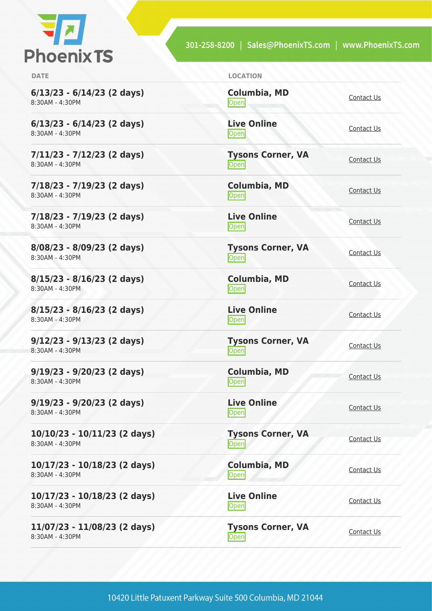

301-258-8200 | Sales@PhoenixTS.com | www.PhoenixTS.com

**6/13/23 - 6/14/23 (2 days)** 8:30AM - 4:30PM

**6/13/23 - 6/14/23 (2 days)** 8:30AM - 4:30PM

**7/11/23 - 7/12/23 (2 days)** 8:30AM - 4:30PM

**7/18/23 - 7/19/23 (2 days)** 8:30AM - 4:30PM

**7/18/23 - 7/19/23 (2 days)** 8:30AM - 4:30PM

**8/08/23 - 8/09/23 (2 days)** 8:30AM - 4:30PM

**8/15/23 - 8/16/23 (2 days)** 8:30AM - 4:30PM

**8/15/23 - 8/16/23 (2 days)** 8:30AM - 4:30PM

**9/12/23 - 9/13/23 (2 days)** 8:30AM - 4:30PM

**9/19/23 - 9/20/23 (2 days)** 8:30AM - 4:30PM

**9/19/23 - 9/20/23 (2 days)** 8:30AM - 4:30PM

**10/10/23 - 10/11/23 (2 days)** 8:30AM - 4:30PM

**10/17/23 - 10/18/23 (2 days)** 8:30AM - 4:30PM

**10/17/23 - 10/18/23 (2 days)** 8:30AM - 4:30PM

**11/07/23 - 11/08/23 (2 days)** 8:30AM - 4:30PM

**DATE LOCATION**

**Columbia, MD** [Contact Us](https://phoenixts.com/schedule/more-info/?class=29635)<br>Open

**Live Online** <u>[Contact Us](https://phoenixts.com/schedule/more-info/?class=29647)</u>

**Tysons Corner, VA Open** [Contact Us](https://phoenixts.com/schedule/more-info/?class=29624)

**Columbia, MD** [Contact Us](https://phoenixts.com/schedule/more-info/?class=29636)<br>Open

**Live Online** <u>[Contact Us](https://phoenixts.com/schedule/more-info/?class=29648)</u>

**Tysons Corner, VA Open** [Contact Us](https://phoenixts.com/schedule/more-info/?class=29625)

**Columbia, MD [Contact Us](https://phoenixts.com/schedule/more-info/?class=29637)**<br>Open

**Live Online** <u>Open</u> [Contact Us](https://phoenixts.com/schedule/more-info/?class=29649)

**Tysons Corner, VA Open** [Contact Us](https://phoenixts.com/schedule/more-info/?class=29626)

**Columbia, MD** [Contact Us](https://phoenixts.com/schedule/more-info/?class=29638)<br>
Open Contact Us

**Live Online** <u>[Contact Us](https://phoenixts.com/schedule/more-info/?class=29650)</u>

**Tysons Corner, VA Open** [Contact Us](https://phoenixts.com/schedule/more-info/?class=29627)

**Columbia, MD**

[Contact Us](https://phoenixts.com/schedule/more-info/?class=29639) **Live Online**

**[Contact Us](https://phoenixts.com/schedule/more-info/?class=29651)** 

**Tysons Corner, VA Open** [Contact Us](https://phoenixts.com/schedule/more-info/?class=29628)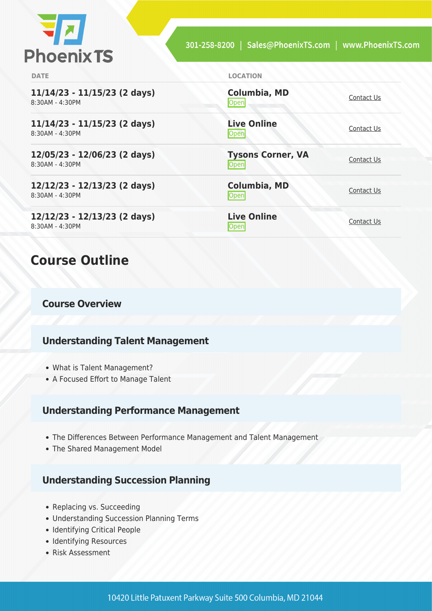

| <b>DATE</b>                                         | <b>LOCATION</b>                         |            |
|-----------------------------------------------------|-----------------------------------------|------------|
| $11/14/23 - 11/15/23$ (2 days)<br>$8:30AM - 4:30PM$ | <b>Columbia, MD</b><br>Open             | Contact Us |
| $11/14/23 - 11/15/23$ (2 days)<br>8:30AM - 4:30PM   | <b>Live Online</b><br>Open              | Contact Us |
| 12/05/23 - 12/06/23 (2 days)<br>8:30AM - 4:30PM     | <b>Tysons Corner, VA</b><br><b>Open</b> | Contact Us |
| 12/12/23 - 12/13/23 (2 days)<br>8:30AM - 4:30PM     | <b>Columbia, MD</b><br>Open             | Contact Us |
| 12/12/23 - 12/13/23 (2 days)<br>8:30AM - 4:30PM     | <b>Live Online</b><br>$\mathsf{Open}$   | Contact Us |
|                                                     |                                         |            |

## **Course Outline**

#### **Course Overview**

#### **Understanding Talent Management**

- What is Talent Management?
- A Focused Effort to Manage Talent

#### **Understanding Performance Management**

- The Differences Between Performance Management and Talent Management
- The Shared Management Model

#### **Understanding Succession Planning**

- Replacing vs. Succeeding
- Understanding Succession Planning Terms
- Identifying Critical People
- Identifying Resources
- Risk Assessment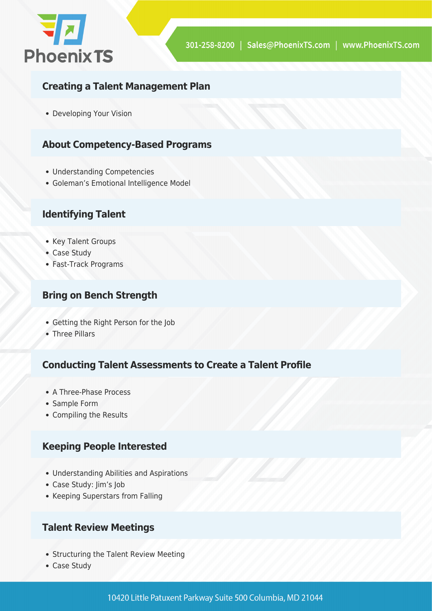

#### **Creating a Talent Management Plan**

Developing Your Vision

#### **About Competency-Based Programs**

- Understanding Competencies
- Goleman's Emotional Intelligence Model

#### **Identifying Talent**

- Key Talent Groups
- Case Study
- Fast-Track Programs

#### **Bring on Bench Strength**

- Getting the Right Person for the Job
- Three Pillars

#### **Conducting Talent Assessments to Create a Talent Profile**

- A Three-Phase Process
- Sample Form
- Compiling the Results

#### **Keeping People Interested**

- Understanding Abilities and Aspirations
- Case Study: Jim's Job
- Keeping Superstars from Falling

#### **Talent Review Meetings**

- Structuring the Talent Review Meeting
- Case Study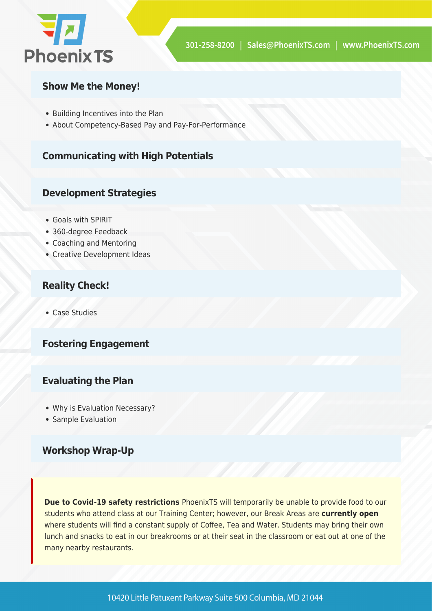

#### **Show Me the Money!**

- Building Incentives into the Plan
- About Competency-Based Pay and Pay-For-Performance

#### **Communicating with High Potentials**

#### **Development Strategies**

- Goals with SPIRIT
- 360-degree Feedback
- Coaching and Mentoring
- Creative Development Ideas

#### **Reality Check!**

Case Studies

#### **Fostering Engagement**

#### **Evaluating the Plan**

- Why is Evaluation Necessary?
- Sample Evaluation

#### **Workshop Wrap-Up**

**Due to Covid-19 safety restrictions** PhoenixTS will temporarily be unable to provide food to our students who attend class at our Training Center; however, our Break Areas are **currently open** where students will find a constant supply of Coffee, Tea and Water. Students may bring their own lunch and snacks to eat in our breakrooms or at their seat in the classroom or eat out at one of the many nearby restaurants.